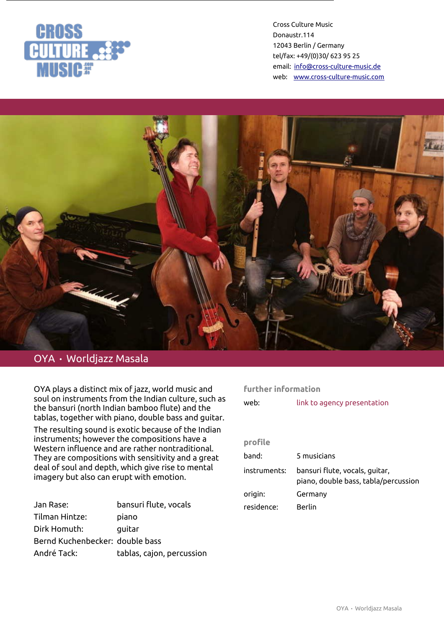



# OYA • Worldjazz Masala

OYA plays a distinct mix of jazz, world music and soul on instruments from the Indian culture, such as the bansuri (north Indian bamboo flute) and the tablas, together with piano, double bass and guitar.

The resulting sound is exotic because of the Indian instruments; however the compositions have a Western influence and are rather nontraditional. They are compositions with sensitivity and a great deal of soul and depth, which give rise to mental imagery but also can erupt with emotion.

| Jan Rase:                       | bansuri flute, vocals     |
|---------------------------------|---------------------------|
| Tilman Hintze:                  | piano                     |
| Dirk Homuth:                    | quitar                    |
| Bernd Kuchenbecker: double bass |                           |
| André Tack:                     | tablas, cajon, percussion |

# **further information**

| web:         | link to agency presentation                                            |
|--------------|------------------------------------------------------------------------|
|              |                                                                        |
| profile      |                                                                        |
| band:        | 5 musicians                                                            |
| instruments: | bansuri flute, vocals, guitar,<br>piano, double bass, tabla/percussion |
| origin:      | Germany                                                                |
| residence:   | <b>Berlin</b>                                                          |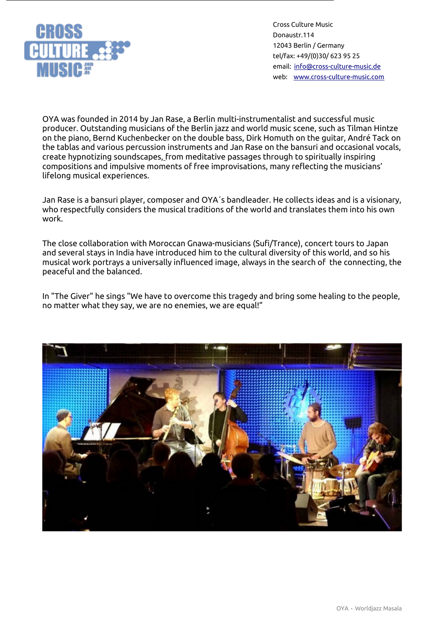

OYA was founded in 2014 by Jan Rase, a Berlin multi-instrumentalist and successful music producer. Outstanding musicians of the Berlin jazz and world music scene, such as Tilman Hintze on the piano, Bernd Kuchenbecker on the double bass, Dirk Homuth on the guitar, André Tack on the tablas and various percussion instruments and Jan Rase on the bansuri and occasional vocals, create hypnotizing soundscapes, from meditative passages through to spiritually inspiring compositions and impulsive moments of free improvisations, many reflecting the musicians' lifelong musical experiences.

Jan Rase is a bansuri player, composer and OYA´s bandleader. He collects ideas and is a visionary, who respectfully considers the musical traditions of the world and translates them into his own work.

The close collaboration with Moroccan Gnawa-musicians (Sufi/Trance), concert tours to Japan and several stays in India have introduced him to the cultural diversity of this world, and so his musical work portrays a universally influenced image, always in the search of the connecting, the peaceful and the balanced.

In "The Giver" he sings "We have to overcome this tragedy and bring some healing to the people, no matter what they say, we are no enemies, we are equal!"

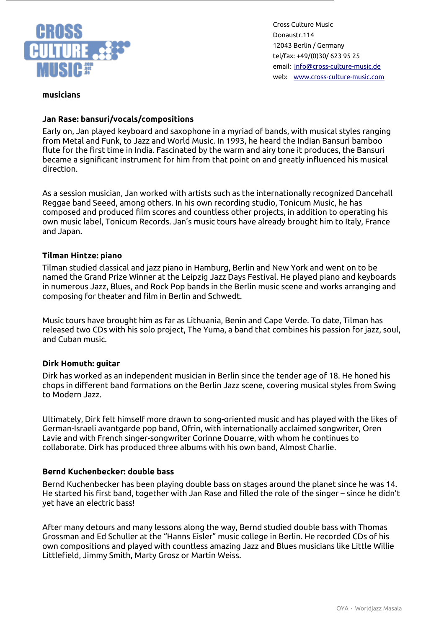

## **musicians**

## **Jan Rase: bansuri/vocals/compositions**

Early on, Jan played keyboard and saxophone in a myriad of bands, with musical styles ranging from Metal and Funk, to Jazz and World Music. In 1993, he heard the Indian Bansuri bamboo flute for the first time in India. Fascinated by the warm and airy tone it produces, the Bansuri became a significant instrument for him from that point on and greatly influenced his musical direction.

As a session musician, Jan worked with artists such as the internationally recognized Dancehall Reggae band Seeed, among others. In his own recording studio, Tonicum Music, he has composed and produced film scores and countless other projects, in addition to operating his own music label, Tonicum Records. Jan's music tours have already brought him to Italy, France and Japan.

#### **Tilman Hintze: piano**

Tilman studied classical and jazz piano in Hamburg, Berlin and New York and went on to be named the Grand Prize Winner at the Leipzig Jazz Days Festival. He played piano and keyboards in numerous Jazz, Blues, and Rock Pop bands in the Berlin music scene and works arranging and composing for theater and film in Berlin and Schwedt.

Music tours have brought him as far as Lithuania, Benin and Cape Verde. To date, Tilman has released two CDs with his solo project, The Yuma, a band that combines his passion for jazz, soul, and Cuban music.

#### **Dirk Homuth: guitar**

Dirk has worked as an independent musician in Berlin since the tender age of 18. He honed his chops in different band formations on the Berlin Jazz scene, covering musical styles from Swing to Modern Jazz.

Ultimately, Dirk felt himself more drawn to song-oriented music and has played with the likes of German-Israeli avantgarde pop band, Ofrin, with internationally acclaimed songwriter, Oren Lavie and with French singer-songwriter Corinne Douarre, with whom he continues to collaborate. Dirk has produced three albums with his own band, Almost Charlie.

#### **Bernd Kuchenbecker: double bass**

Bernd Kuchenbecker has been playing double bass on stages around the planet since he was 14. He started his first band, together with Jan Rase and filled the role of the singer – since he didn't yet have an electric bass!

After many detours and many lessons along the way, Bernd studied double bass with Thomas Grossman and Ed Schuller at the "Hanns Eisler" music college in Berlin. He recorded CDs of his own compositions and played with countless amazing Jazz and Blues musicians like Little Willie Littlefield, Jimmy Smith, Marty Grosz or Martin Weiss.